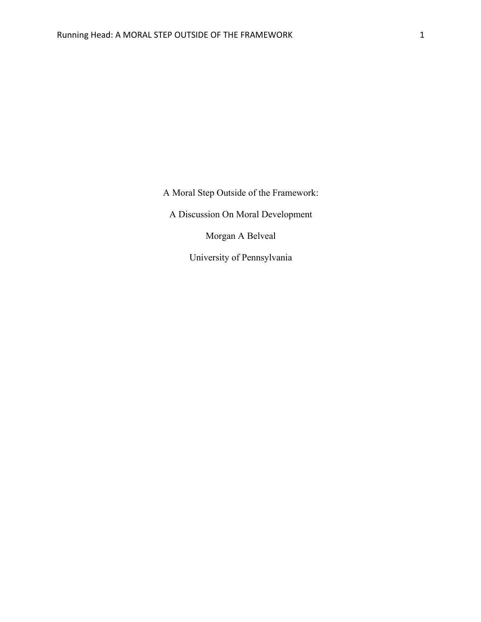A Moral Step Outside of the Framework:

A Discussion On Moral Development

Morgan A Belveal

University of Pennsylvania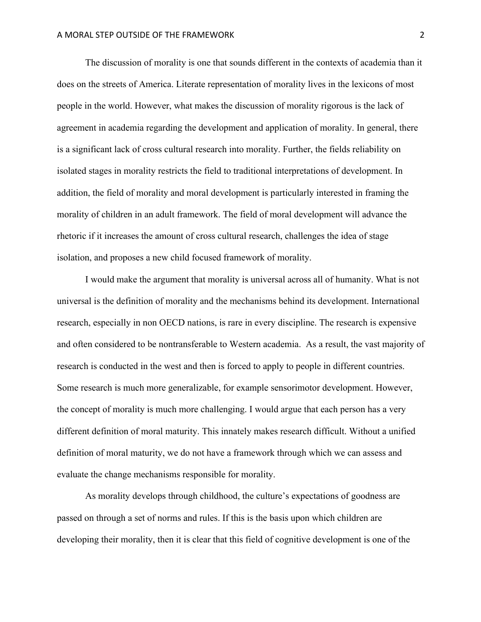The discussion of morality is one that sounds different in the contexts of academia than it does on the streets of America. Literate representation of morality lives in the lexicons of most people in the world. However, what makes the discussion of morality rigorous is the lack of agreement in academia regarding the development and application of morality. In general, there is a significant lack of cross cultural research into morality. Further, the fields reliability on isolated stages in morality restricts the field to traditional interpretations of development. In addition, the field of morality and moral development is particularly interested in framing the morality of children in an adult framework. The field of moral development will advance the rhetoric if it increases the amount of cross cultural research, challenges the idea of stage isolation, and proposes a new child focused framework of morality.

I would make the argument that morality is universal across all of humanity. What is not universal is the definition of morality and the mechanisms behind its development. International research, especially in non OECD nations, is rare in every discipline. The research is expensive and often considered to be nontransferable to Western academia. As a result, the vast majority of research is conducted in the west and then is forced to apply to people in different countries. Some research is much more generalizable, for example sensorimotor development. However, the concept of morality is much more challenging. I would argue that each person has a very different definition of moral maturity. This innately makes research difficult. Without a unified definition of moral maturity, we do not have a framework through which we can assess and evaluate the change mechanisms responsible for morality.

As morality develops through childhood, the culture's expectations of goodness are passed on through a set of norms and rules. If this is the basis upon which children are developing their morality, then it is clear that this field of cognitive development is one of the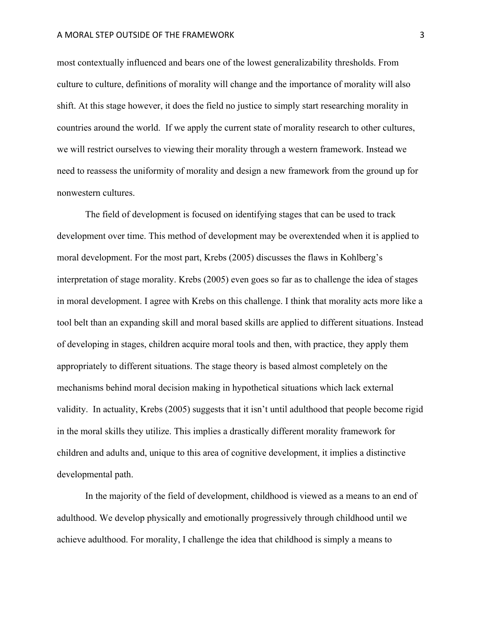## A MORAL STEP OUTSIDE OF THE FRAMEWORK **3** 3

most contextually influenced and bears one of the lowest generalizability thresholds. From culture to culture, definitions of morality will change and the importance of morality will also shift. At this stage however, it does the field no justice to simply start researching morality in countries around the world. If we apply the current state of morality research to other cultures, we will restrict ourselves to viewing their morality through a western framework. Instead we need to reassess the uniformity of morality and design a new framework from the ground up for nonwestern cultures.

The field of development is focused on identifying stages that can be used to track development over time. This method of development may be overextended when it is applied to moral development. For the most part, Krebs (2005) discusses the flaws in Kohlberg's interpretation of stage morality. Krebs (2005) even goes so far as to challenge the idea of stages in moral development. I agree with Krebs on this challenge. I think that morality acts more like a tool belt than an expanding skill and moral based skills are applied to different situations. Instead of developing in stages, children acquire moral tools and then, with practice, they apply them appropriately to different situations. The stage theory is based almost completely on the mechanisms behind moral decision making in hypothetical situations which lack external validity. In actuality, Krebs (2005) suggests that it isn't until adulthood that people become rigid in the moral skills they utilize. This implies a drastically different morality framework for children and adults and, unique to this area of cognitive development, it implies a distinctive developmental path.

In the majority of the field of development, childhood is viewed as a means to an end of adulthood. We develop physically and emotionally progressively through childhood until we achieve adulthood. For morality, I challenge the idea that childhood is simply a means to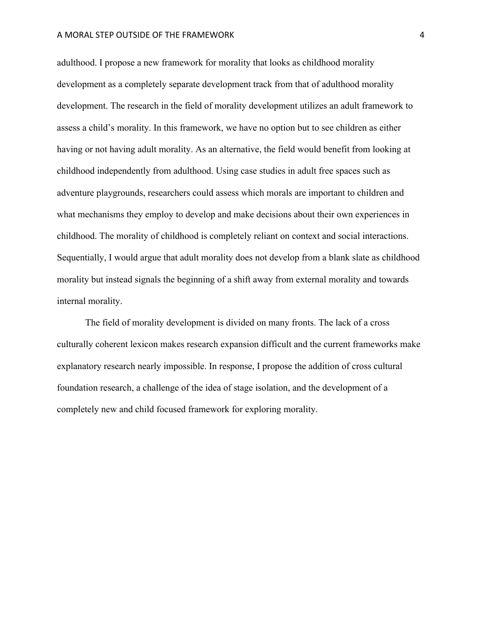## A MORAL STEP OUTSIDE OF THE FRAMEWORK **A** A MORAL STEP OUTSIDE OF THE FRAMEWORK

adulthood. I propose a new framework for morality that looks as childhood morality development as a completely separate development track from that of adulthood morality development. The research in the field of morality development utilizes an adult framework to assess a child's morality. In this framework, we have no option but to see children as either having or not having adult morality. As an alternative, the field would benefit from looking at childhood independently from adulthood. Using case studies in adult free spaces such as adventure playgrounds, researchers could assess which morals are important to children and what mechanisms they employ to develop and make decisions about their own experiences in childhood. The morality of childhood is completely reliant on context and social interactions. Sequentially, I would argue that adult morality does not develop from a blank slate as childhood morality but instead signals the beginning of a shift away from external morality and towards internal morality.

The field of morality development is divided on many fronts. The lack of a cross culturally coherent lexicon makes research expansion difficult and the current frameworks make explanatory research nearly impossible. In response, I propose the addition of cross cultural foundation research, a challenge of the idea of stage isolation, and the development of a completely new and child focused framework for exploring morality.